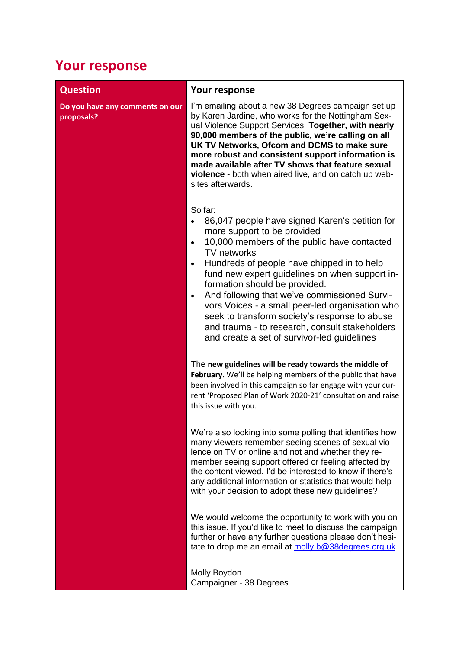## **Your response**

| <b>Question</b>                               | Your response                                                                                                                                                                                                                                                                                                                                                                                                                                                                                                                                                                              |
|-----------------------------------------------|--------------------------------------------------------------------------------------------------------------------------------------------------------------------------------------------------------------------------------------------------------------------------------------------------------------------------------------------------------------------------------------------------------------------------------------------------------------------------------------------------------------------------------------------------------------------------------------------|
| Do you have any comments on our<br>proposals? | I'm emailing about a new 38 Degrees campaign set up<br>by Karen Jardine, who works for the Nottingham Sex-<br>ual Violence Support Services. Together, with nearly<br>90,000 members of the public, we're calling on all<br>UK TV Networks, Ofcom and DCMS to make sure<br>more robust and consistent support information is<br>made available after TV shows that feature sexual<br>violence - both when aired live, and on catch up web-<br>sites afterwards.                                                                                                                            |
|                                               | So far:<br>86,047 people have signed Karen's petition for<br>more support to be provided<br>10,000 members of the public have contacted<br>$\bullet$<br><b>TV</b> networks<br>Hundreds of people have chipped in to help<br>$\bullet$<br>fund new expert guidelines on when support in-<br>formation should be provided.<br>And following that we've commissioned Survi-<br>$\bullet$<br>vors Voices - a small peer-led organisation who<br>seek to transform society's response to abuse<br>and trauma - to research, consult stakeholders<br>and create a set of survivor-led guidelines |
|                                               | The new guidelines will be ready towards the middle of<br>February. We'll be helping members of the public that have<br>been involved in this campaign so far engage with your cur-<br>rent 'Proposed Plan of Work 2020-21' consultation and raise<br>this issue with you.                                                                                                                                                                                                                                                                                                                 |
|                                               | We're also looking into some polling that identifies how<br>many viewers remember seeing scenes of sexual vio-<br>lence on TV or online and not and whether they re-<br>member seeing support offered or feeling affected by<br>the content viewed. I'd be interested to know if there's<br>any additional information or statistics that would help<br>with your decision to adopt these new guidelines?                                                                                                                                                                                  |
|                                               | We would welcome the opportunity to work with you on<br>this issue. If you'd like to meet to discuss the campaign<br>further or have any further questions please don't hesi-<br>tate to drop me an email at molly.b@38degrees.org.uk                                                                                                                                                                                                                                                                                                                                                      |
|                                               | Molly Boydon<br>Campaigner - 38 Degrees                                                                                                                                                                                                                                                                                                                                                                                                                                                                                                                                                    |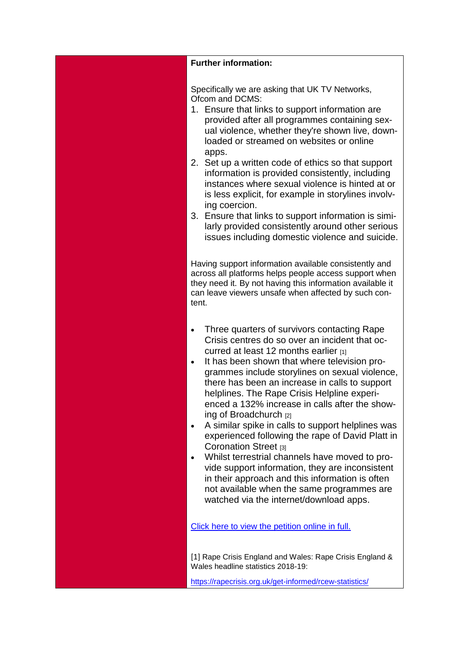## **Further information:**

Specifically we are asking that UK TV Networks, Ofcom and DCMS:

- 1. Ensure that links to support information are provided after all programmes containing sexual violence, whether they're shown live, downloaded or streamed on websites or online apps.
- 2. Set up a written code of ethics so that support information is provided consistently, including instances where sexual violence is hinted at or is less explicit, for example in storylines involving coercion.
- 3. Ensure that links to support information is similarly provided consistently around other serious issues including domestic violence and suicide.

Having support information available consistently and across all platforms helps people access support when they need it. By not having this information available it can leave viewers unsafe when affected by such content.

- Three quarters of survivors contacting Rape Crisis centres do so over an incident that occurred at least 12 months earlier  $[1]$
- It has been shown that where television programmes include storylines on sexual violence, there has been an increase in calls to support helplines. The Rape Crisis Helpline experienced a 132% increase in calls after the showing of Broadchurch [2]
- A similar spike in calls to support helplines was experienced following the rape of David Platt in Coronation Street [3]
- Whilst terrestrial channels have moved to provide support information, they are inconsistent in their approach and this information is often not available when the same programmes are watched via the internet/download apps.

[Click here to view the petition online in full.](https://eur01.safelinks.protection.outlook.com/?url=https%3A%2F%2Fyou.38degrees.org.uk%2Fpetitions%2Fprovide-support-information-after-tv-programmes-available-online&data=02%7C01%7Cannualplan2020%40ofcom.org.uk%7C2b36c05050764e14406d08d7a4ddce64%7C0af648de310c40688ae4f9418bae24cc%7C0%7C0%7C637159144873671071&sdata=aTaY5XkxvPp7OYXTsayeDY7fittINcTMSfjoHkWggh4%3D&reserved=0)

[1] Rape Crisis England and Wales: Rape Crisis England & Wales headline statistics 2018-19:

[https://rapecrisis.org.uk/get-informed/rcew-statistics/](https://eur01.safelinks.protection.outlook.com/?url=https%3A%2F%2Frapecrisis.org.uk%2Fget-informed%2Frcew-statistics%2F&data=02%7C01%7Cannualplan2020%40ofcom.org.uk%7C2b36c05050764e14406d08d7a4ddce64%7C0af648de310c40688ae4f9418bae24cc%7C0%7C0%7C637159144873671071&sdata=cQzUNKBiNu9rN5p3frC9ScZhXAolP1ok84iRqh4hyl4%3D&reserved=0)